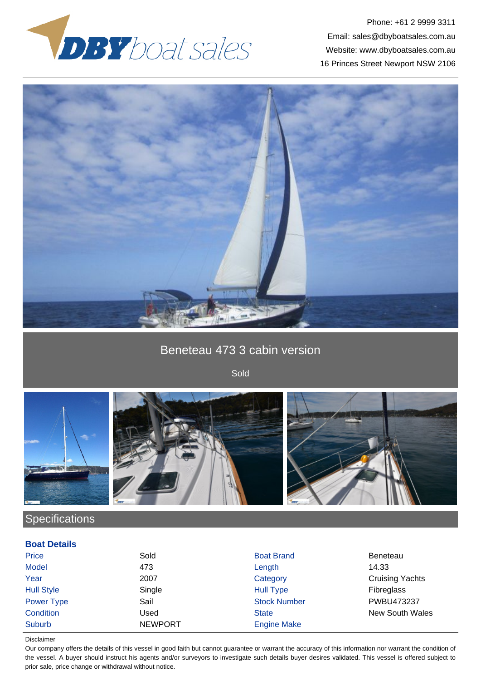

Phone: +61 2 9999 3311 Email: sales@dbyboatsales.com.au Website: www.dbyboatsales.com.au 16 Princes Street Newport NSW 2106



## Beneteau 473 3 cabin version

Sold





# **Specifications**

### **Boat Details**

| <b>Price</b>      | Sold           | <b>Boat Brand</b>   | Beneteau               |
|-------------------|----------------|---------------------|------------------------|
| <b>Model</b>      | 473            | Length              | 14.33                  |
| Year              | 2007           | Category            | <b>Cruising Yachts</b> |
| <b>Hull Style</b> | Single         | <b>Hull Type</b>    | Fibreglass             |
| Power Type        | Sail           | <b>Stock Number</b> | PWBU473237             |
| Condition         | Used           | <b>State</b>        | <b>New South Wales</b> |
| Suburb            | <b>NEWPORT</b> | <b>Engine Make</b>  |                        |

#### Disclaimer

Our company offers the details of this vessel in good faith but cannot guarantee or warrant the accuracy of this information nor warrant the condition of the vessel. A buyer should instruct his agents and/or surveyors to investigate such details buyer desires validated. This vessel is offered subject to prior sale, price change or withdrawal without notice.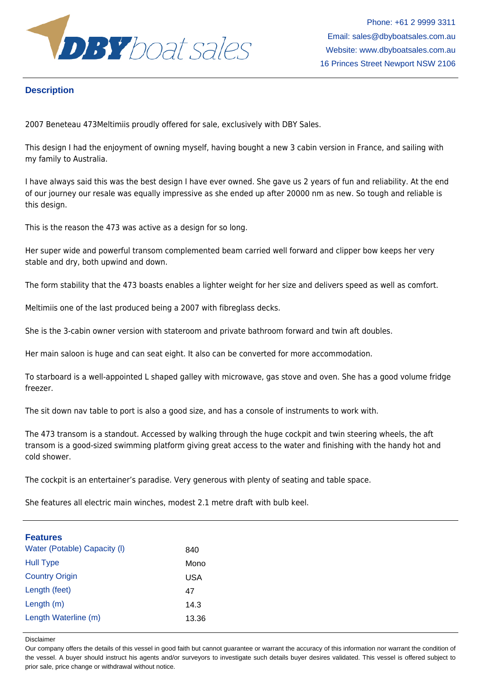

Phone: +61 2 9999 3311 Email: sales@dbyboatsales.com.au Website: www.dbyboatsales.com.au 16 Princes Street Newport NSW 2106

### **Description**

2007 Beneteau 473Meltimiis proudly offered for sale, exclusively with DBY Sales.

This design I had the enjoyment of owning myself, having bought a new 3 cabin version in France, and sailing with my family to Australia.

I have always said this was the best design I have ever owned. She gave us 2 years of fun and reliability. At the end of our journey our resale was equally impressive as she ended up after 20000 nm as new. So tough and reliable is this design.

This is the reason the 473 was active as a design for so long.

Her super wide and powerful transom complemented beam carried well forward and clipper bow keeps her very stable and dry, both upwind and down.

The form stability that the 473 boasts enables a lighter weight for her size and delivers speed as well as comfort.

Meltimiis one of the last produced being a 2007 with fibreglass decks.

She is the 3-cabin owner version with stateroom and private bathroom forward and twin aft doubles.

Her main saloon is huge and can seat eight. It also can be converted for more accommodation.

To starboard is a well-appointed L shaped galley with microwave, gas stove and oven. She has a good volume fridge freezer.

The sit down nav table to port is also a good size, and has a console of instruments to work with.

The 473 transom is a standout. Accessed by walking through the huge cockpit and twin steering wheels, the aft transom is a good-sized swimming platform giving great access to the water and finishing with the handy hot and cold shower.

The cockpit is an entertainer's paradise. Very generous with plenty of seating and table space.

She features all electric main winches, modest 2.1 metre draft with bulb keel.

| <b>Features</b>              |            |
|------------------------------|------------|
| Water (Potable) Capacity (I) | 840        |
| <b>Hull Type</b>             | Mono       |
| <b>Country Origin</b>        | <b>USA</b> |
| Length (feet)                | 47         |
| Length (m)                   | 14.3       |
| Length Waterline (m)         | 13.36      |

Disclaimer

Our company offers the details of this vessel in good faith but cannot guarantee or warrant the accuracy of this information nor warrant the condition of the vessel. A buyer should instruct his agents and/or surveyors to investigate such details buyer desires validated. This vessel is offered subject to prior sale, price change or withdrawal without notice.